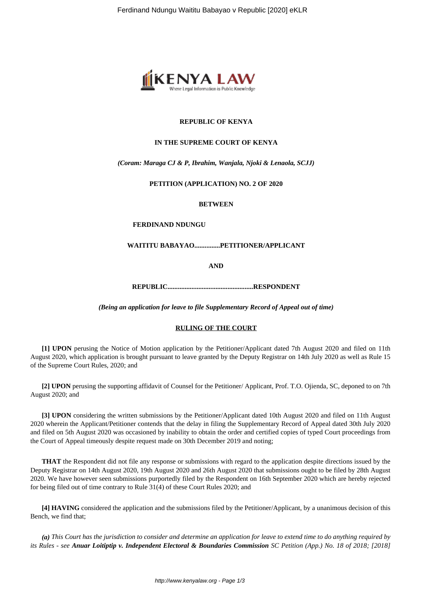

## **REPUBLIC OF KENYA**

## **IN THE SUPREME COURT OF KENYA**

## *(Coram: Maraga CJ & P, Ibrahim, Wanjala, Njoki & Lenaola, SCJJ)*

## **PETITION (APPLICATION) NO. 2 OF 2020**

## **BETWEEN**

## **FERDINAND NDUNGU**

## **WAITITU BABAYAO...............PETITIONER/APPLICANT**

**AND**

**REPUBLIC..................................................RESPONDENT**

*(Being an application for leave to file Supplementary Record of Appeal out of time)*

## **RULING OF THE COURT**

**[1] UPON** perusing the Notice of Motion application by the Petitioner/Applicant dated 7th August 2020 and filed on 11th August 2020, which application is brought pursuant to leave granted by the Deputy Registrar on 14th July 2020 as well as Rule 15 of the Supreme Court Rules, 2020; and

**[2] UPON** perusing the supporting affidavit of Counsel for the Petitioner/ Applicant, Prof. T.O. Ojienda, SC, deponed to on 7th August 2020; and

**[3] UPON** considering the written submissions by the Petitioner/Applicant dated 10th August 2020 and filed on 11th August 2020 wherein the Applicant/Petitioner contends that the delay in filing the Supplementary Record of Appeal dated 30th July 2020 and filed on 5th August 2020 was occasioned by inability to obtain the order and certified copies of typed Court proceedings from the Court of Appeal timeously despite request made on 30th December 2019 and noting;

**THAT** the Respondent did not file any response or submissions with regard to the application despite directions issued by the Deputy Registrar on 14th August 2020, 19th August 2020 and 26th August 2020 that submissions ought to be filed by 28th August 2020. We have however seen submissions purportedly filed by the Respondent on 16th September 2020 which are hereby rejected for being filed out of time contrary to Rule 31(4) of these Court Rules 2020; and

**[4] HAVING** considered the application and the submissions filed by the Petitioner/Applicant, by a unanimous decision of this Bench, we find that;

*(a) This Court has the jurisdiction to consider and determine an application for leave to extend time to do anything required by its Rules - see Anuar Loitiptip v. Independent Electoral & Boundaries Commission SC Petition (App.) No. 18 of 2018; [2018]*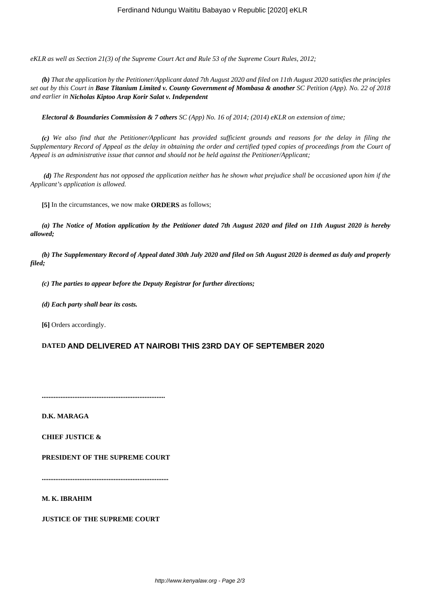*eKLR as well as Section 21(3) of the Supreme Court Act and Rule 53 of the Supreme Court Rules, 2012;*

*(b) That the application by the Petitioner/Applicant dated 7th August 2020 and filed on 11th August 2020 satisfies the principles set out by this Court in Base Titanium Limited v. County Government of Mombasa & another SC Petition (App). No. 22 of 2018 and earlier in Nicholas Kiptoo Arap Korir Salat v. Independent*

*Electoral & Boundaries Commission & 7 others SC (App) No. 16 of 2014; (2014) eKLR on extension of time;*

*(c) We also find that the Petitioner/Applicant has provided sufficient grounds and reasons for the delay in filing the Supplementary Record of Appeal as the delay in obtaining the order and certified typed copies of proceedings from the Court of Appeal is an administrative issue that cannot and should not be held against the Petitioner/Applicant;*

*(d) The Respondent has not opposed the application neither has he shown what prejudice shall be occasioned upon him if the Applicant's application is allowed.*

**[5]** In the circumstances, we now make **ORDERS** as follows;

*(a) The Notice of Motion application by the Petitioner dated 7th August 2020 and filed on 11th August 2020 is hereby allowed;*

*(b) The Supplementary Record of Appeal dated 30th July 2020 and filed on 5th August 2020 is deemed as duly and properly filed;*

*(c) The parties to appear before the Deputy Registrar for further directions;*

*(d) Each party shall bear its costs.*

**[6]** Orders accordingly.

# **DATED AND DELIVERED AT NAIROBI THIS 23RD DAY OF SEPTEMBER 2020**

**........................................................................**

**D.K. MARAGA**

**CHIEF JUSTICE &**

**PRESIDENT OF THE SUPREME COURT**

**..........................................................................**

**M. K. IBRAHIM**

**JUSTICE OF THE SUPREME COURT**